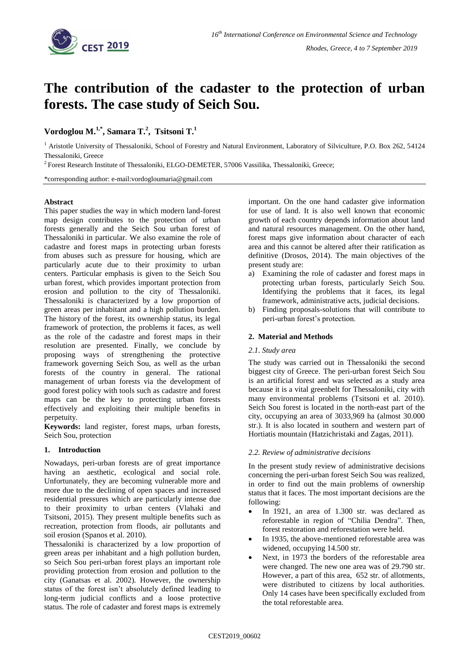

# **The contribution of the cadaster to the protection of urban forests. The case study of Seich Sou.**

## **Vordoglou M. 1,\* , Samara T. 2 , Tsitsoni T. 1**

<sup>1</sup> Aristotle University of Thessaloniki, School of Forestry and Natural Environment, Laboratory of Silviculture, P.O. Box 262, 54124 Thessaloniki, Greece

<sup>2</sup> Forest Research Institute of Thessaloniki, ELGO-DEMETER, 57006 Vassilika, Thessaloniki, Greece;

\*corresponding author: e-mail:vordogloumaria@gmail.com

### **Abstract**

This paper studies the way in which modern land-forest map design contributes to the protection of urban forests generally and the Seich Sou urban forest of Thessaloniki in particular. We also examine the role of cadastre and forest maps in protecting urban forests from abuses such as pressure for housing, which are particularly acute due to their proximity to urban centers. Particular emphasis is given to the Seich Sou urban forest, which provides important protection from erosion and pollution to the city of Thessaloniki. Thessaloniki is characterized by a low proportion of green areas per inhabitant and a high pollution burden. The history of the forest, its ownership status, its legal framework of protection, the problems it faces, as well as the role of the cadastre and forest maps in their resolution are presented. Finally, we conclude by proposing ways of strengthening the protective framework governing Seich Sou, as well as the urban forests of the country in general. The rational management of urban forests via the development of good forest policy with tools such as cadastre and forest maps can be the key to protecting urban forests effectively and exploiting their multiple benefits in perpetuity.

**Keywords:** land register, forest maps, urban forests, Seich Sou, protection

### **1. Introduction**

Nowadays, peri-urban forests are of great importance having an aesthetic, ecological and social role. Unfortunately, they are becoming vulnerable more and more due to the declining of open spaces and increased residential pressures which are particularly intense due to their proximity to urban centers (Vlahaki and Tsitsoni, 2015). They present multiple benefits such as recreation, protection from floods, air pollutants and soil erosion (Spanos et al. 2010).

Thessaloniki is characterized by a low proportion of green areas per inhabitant and a high pollution burden, so Seich Sou peri-urban forest plays an important role providing protection from erosion and pollution to the city (Ganatsas et al. 2002). However, the ownership status of the forest isn't absolutely defined leading to long-term judicial conflicts and a loose protective status. The role of cadaster and forest maps is extremely

important. On the one hand cadaster give information for use of land. It is also well known that economic growth of each country depends information about land and natural resources management. On the other hand, forest maps give information about character of each area and this cannot be altered after their ratification as definitive (Drosos, 2014). The main objectives of the present study are:

- a) Examining the role of cadaster and forest maps in protecting urban forests, particularly Seich Sou. Identifying the problems that it faces, its legal framework, administrative acts, judicial decisions.
- b) Finding proposals-solutions that will contribute to peri-urban forest's protection.

### **2. Material and Methods**

### *2.1. Study area*

The study was carried out in Thessaloniki the second biggest city of Greece. The peri-urban forest Seich Sou is an artificial forest and was selected as a study area because it is a vital greenbelt for Thessaloniki, city with many environmental problems (Tsitsoni et al. 2010). Seich Sou forest is located in the north-east part of the city, occupying an area of 3033,969 ha (almost 30.000 str.). It is also located in southern and western part of Hortiatis mountain (Hatzichristaki and Zagas, 2011).

### *2.2. Review of administrative decisions*

In the present study review of administrative decisions concerning the peri-urban forest Seich Sou was realized, in order to find out the main problems of ownership status that it faces. The most important decisions are the following:

- In 1921, an area of 1.300 str. was declared as reforestable in region of "Chilia Dendra". Then, forest restoration and reforestation were held.
- In 1935, the above-mentioned reforestable area was widened, occupying 14.500 str.
- Next, in 1973 the borders of the reforestable area were changed. The new one area was of 29.790 str. However, a part of this area, 652 str. of allotments, were distributed to citizens by local authorities. Only 14 cases have been specifically excluded from the total reforestable area.